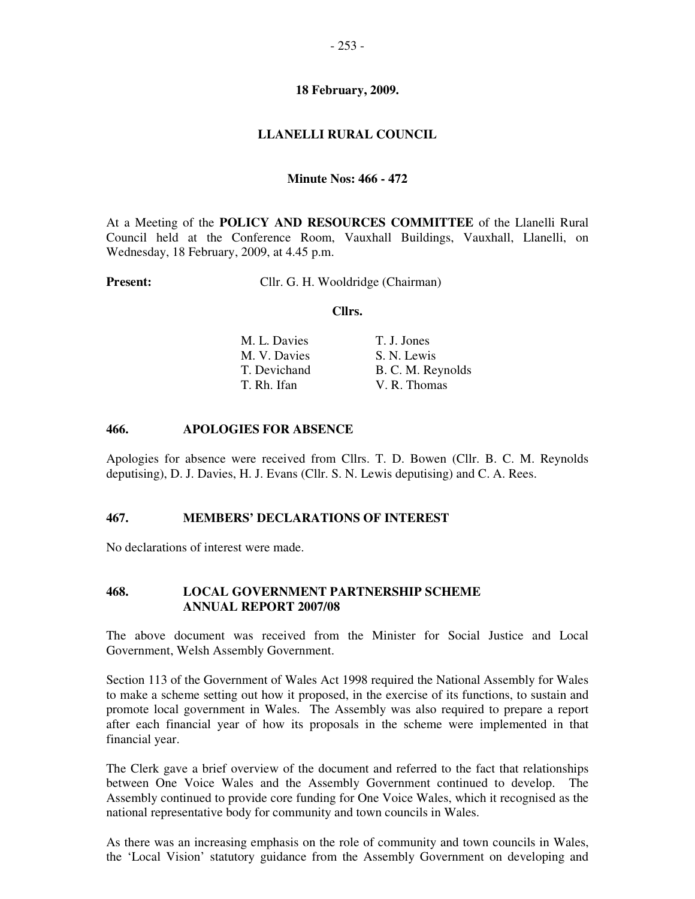### **18 February, 2009.**

## **LLANELLI RURAL COUNCIL**

### **Minute Nos: 466 - 472**

At a Meeting of the **POLICY AND RESOURCES COMMITTEE** of the Llanelli Rural Council held at the Conference Room, Vauxhall Buildings, Vauxhall, Llanelli, on Wednesday, 18 February, 2009, at 4.45 p.m.

**Present:** Cllr. G. H. Wooldridge (Chairman)

#### **Cllrs.**

| M. L. Davies | T. J. Jones       |
|--------------|-------------------|
| M. V. Davies | S. N. Lewis       |
| T. Devichand | B. C. M. Reynolds |
| T. Rh. Ifan  | V. R. Thomas      |

#### **466. APOLOGIES FOR ABSENCE**

Apologies for absence were received from Cllrs. T. D. Bowen (Cllr. B. C. M. Reynolds deputising), D. J. Davies, H. J. Evans (Cllr. S. N. Lewis deputising) and C. A. Rees.

#### **467. MEMBERS' DECLARATIONS OF INTEREST**

No declarations of interest were made.

#### **468. LOCAL GOVERNMENT PARTNERSHIP SCHEME ANNUAL REPORT 2007/08**

The above document was received from the Minister for Social Justice and Local Government, Welsh Assembly Government.

Section 113 of the Government of Wales Act 1998 required the National Assembly for Wales to make a scheme setting out how it proposed, in the exercise of its functions, to sustain and promote local government in Wales. The Assembly was also required to prepare a report after each financial year of how its proposals in the scheme were implemented in that financial year.

The Clerk gave a brief overview of the document and referred to the fact that relationships between One Voice Wales and the Assembly Government continued to develop. The Assembly continued to provide core funding for One Voice Wales, which it recognised as the national representative body for community and town councils in Wales.

As there was an increasing emphasis on the role of community and town councils in Wales, the 'Local Vision' statutory guidance from the Assembly Government on developing and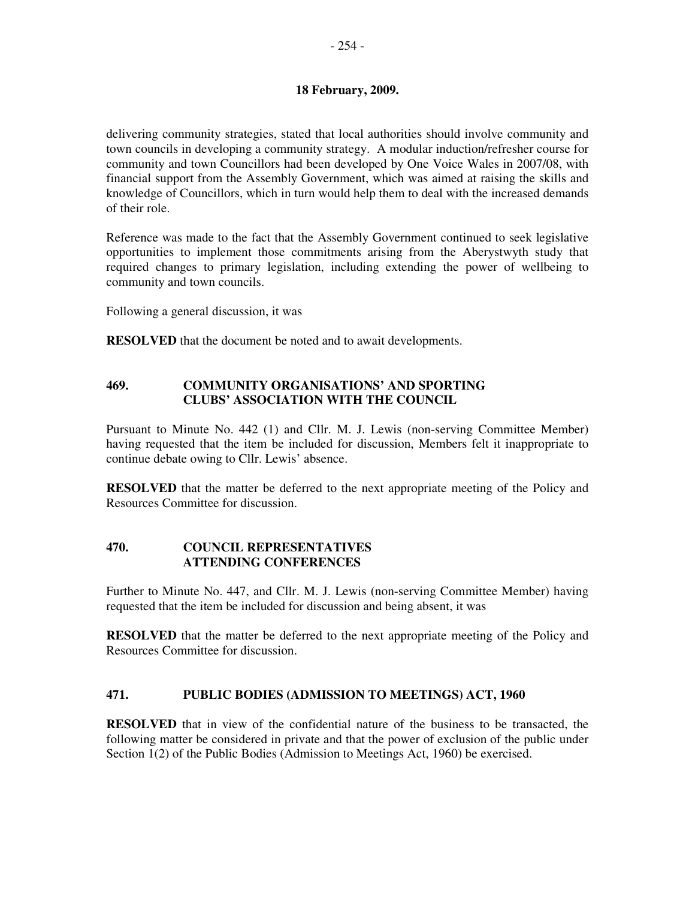## **18 February, 2009.**

delivering community strategies, stated that local authorities should involve community and town councils in developing a community strategy. A modular induction/refresher course for community and town Councillors had been developed by One Voice Wales in 2007/08, with financial support from the Assembly Government, which was aimed at raising the skills and knowledge of Councillors, which in turn would help them to deal with the increased demands of their role.

Reference was made to the fact that the Assembly Government continued to seek legislative opportunities to implement those commitments arising from the Aberystwyth study that required changes to primary legislation, including extending the power of wellbeing to community and town councils.

Following a general discussion, it was

**RESOLVED** that the document be noted and to await developments.

## **469. COMMUNITY ORGANISATIONS' AND SPORTING CLUBS' ASSOCIATION WITH THE COUNCIL**

Pursuant to Minute No. 442 (1) and Cllr. M. J. Lewis (non-serving Committee Member) having requested that the item be included for discussion, Members felt it inappropriate to continue debate owing to Cllr. Lewis' absence.

**RESOLVED** that the matter be deferred to the next appropriate meeting of the Policy and Resources Committee for discussion.

## **470. COUNCIL REPRESENTATIVES ATTENDING CONFERENCES**

Further to Minute No. 447, and Cllr. M. J. Lewis (non-serving Committee Member) having requested that the item be included for discussion and being absent, it was

**RESOLVED** that the matter be deferred to the next appropriate meeting of the Policy and Resources Committee for discussion.

## **471. PUBLIC BODIES (ADMISSION TO MEETINGS) ACT, 1960**

**RESOLVED** that in view of the confidential nature of the business to be transacted, the following matter be considered in private and that the power of exclusion of the public under Section 1(2) of the Public Bodies (Admission to Meetings Act, 1960) be exercised.